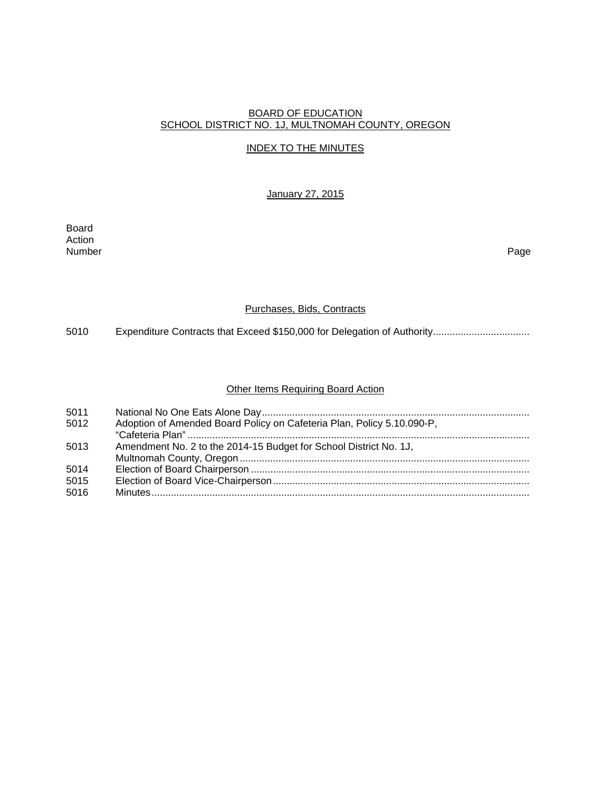## BOARD OF EDUCATION SCHOOL DISTRICT NO. 1J, MULTNOMAH COUNTY, OREGON

# INDEX TO THE MINUTES

January 27, 2015

Board Action<br>Number Number Page

### Purchases, Bids, Contracts

5010 Expenditure Contracts that Exceed \$150,000 for Delegation of Authority..................................

### **Other Items Requiring Board Action**

| 5011 |                                                                        |
|------|------------------------------------------------------------------------|
| 5012 | Adoption of Amended Board Policy on Cafeteria Plan, Policy 5.10.090-P, |
|      |                                                                        |
| 5013 | Amendment No. 2 to the 2014-15 Budget for School District No. 1J,      |
|      |                                                                        |
| 5014 |                                                                        |
| 5015 |                                                                        |
| 5016 |                                                                        |
|      |                                                                        |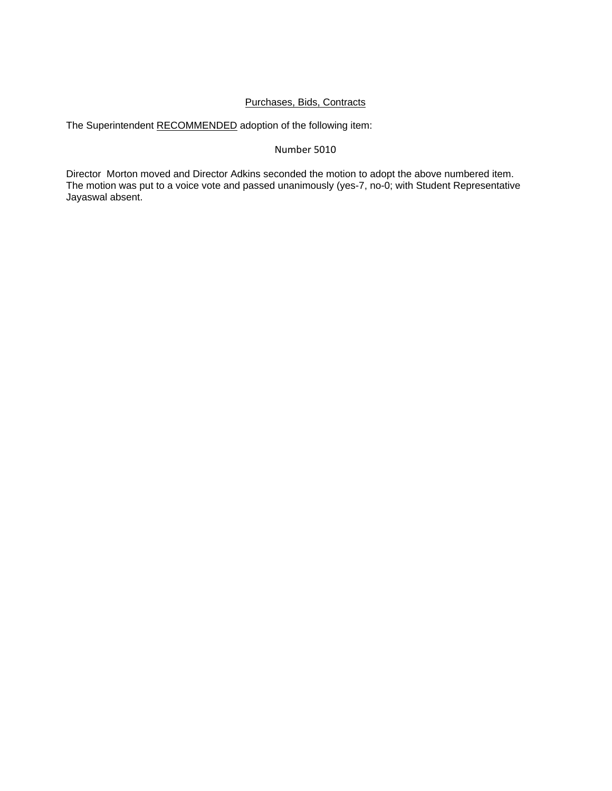# Purchases, Bids, Contracts

The Superintendent RECOMMENDED adoption of the following item:

## Number 5010

Director Morton moved and Director Adkins seconded the motion to adopt the above numbered item. The motion was put to a voice vote and passed unanimously (yes-7, no-0; with Student Representative Jayaswal absent.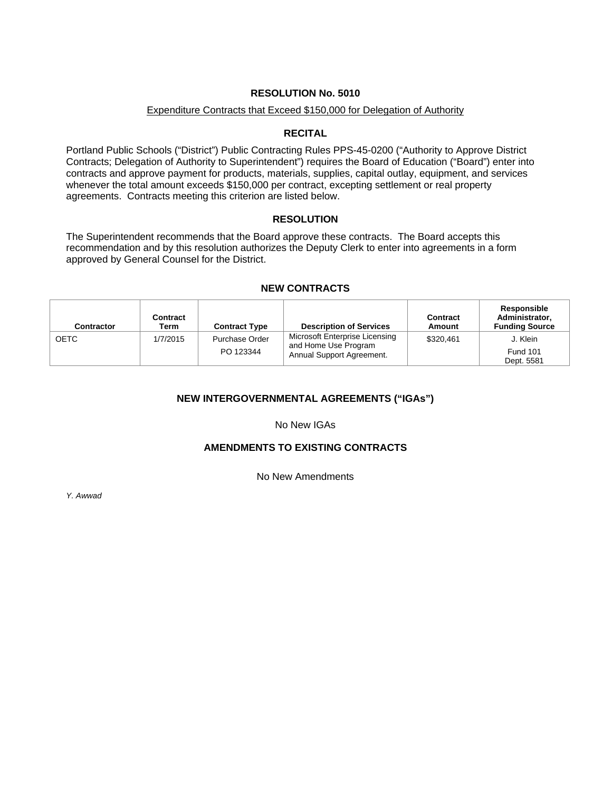### Expenditure Contracts that Exceed \$150,000 for Delegation of Authority

#### **RECITAL**

Portland Public Schools ("District") Public Contracting Rules PPS-45-0200 ("Authority to Approve District Contracts; Delegation of Authority to Superintendent") requires the Board of Education ("Board") enter into contracts and approve payment for products, materials, supplies, capital outlay, equipment, and services whenever the total amount exceeds \$150,000 per contract, excepting settlement or real property agreements. Contracts meeting this criterion are listed below.

## **RESOLUTION**

The Superintendent recommends that the Board approve these contracts. The Board accepts this recommendation and by this resolution authorizes the Deputy Clerk to enter into agreements in a form approved by General Counsel for the District.

### **NEW CONTRACTS**

| <b>Contractor</b> | <b>Contract</b><br>Term | <b>Contract Type</b>        | <b>Description of Services</b>                                                      | <b>Contract</b><br>Amount | Responsible<br>Administrator,<br><b>Funding Source</b> |
|-------------------|-------------------------|-----------------------------|-------------------------------------------------------------------------------------|---------------------------|--------------------------------------------------------|
| <b>OETC</b>       | 1/7/2015                | Purchase Order<br>PO 123344 | Microsoft Enterprise Licensing<br>and Home Use Program<br>Annual Support Agreement. | \$320.461                 | J. Klein<br><b>Fund 101</b><br>Dept. 5581              |

# **NEW INTERGOVERNMENTAL AGREEMENTS ("IGAs")**

No New IGAs

# **AMENDMENTS TO EXISTING CONTRACTS**

No New Amendments

*Y. Awwad*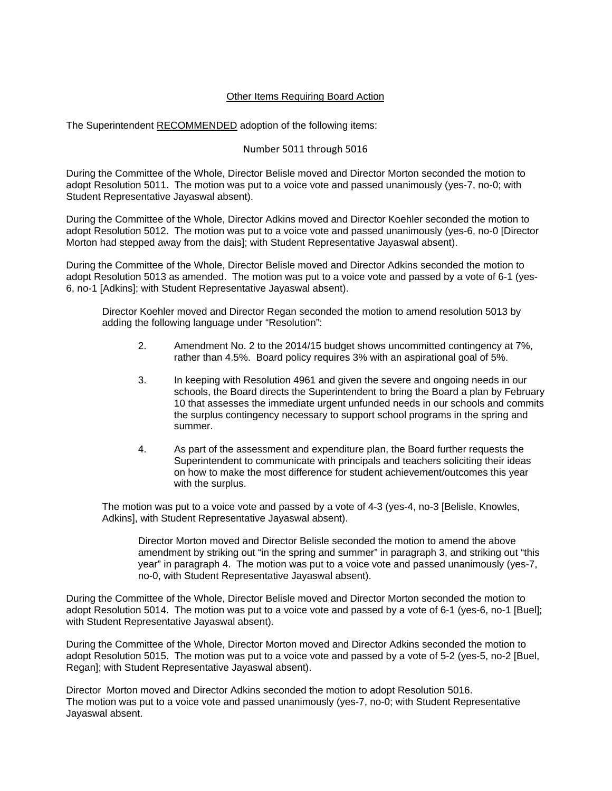## Other Items Requiring Board Action

The Superintendent RECOMMENDED adoption of the following items:

#### Number 5011 through 5016

During the Committee of the Whole, Director Belisle moved and Director Morton seconded the motion to adopt Resolution 5011. The motion was put to a voice vote and passed unanimously (yes-7, no-0; with Student Representative Jayaswal absent).

During the Committee of the Whole, Director Adkins moved and Director Koehler seconded the motion to adopt Resolution 5012. The motion was put to a voice vote and passed unanimously (yes-6, no-0 [Director Morton had stepped away from the dais]; with Student Representative Jayaswal absent).

During the Committee of the Whole, Director Belisle moved and Director Adkins seconded the motion to adopt Resolution 5013 as amended. The motion was put to a voice vote and passed by a vote of 6-1 (yes-6, no-1 [Adkins]; with Student Representative Jayaswal absent).

 Director Koehler moved and Director Regan seconded the motion to amend resolution 5013 by adding the following language under "Resolution":

- 2. Amendment No. 2 to the 2014/15 budget shows uncommitted contingency at 7%, rather than 4.5%. Board policy requires 3% with an aspirational goal of 5%.
- 3. In keeping with Resolution 4961 and given the severe and ongoing needs in our schools, the Board directs the Superintendent to bring the Board a plan by February 10 that assesses the immediate urgent unfunded needs in our schools and commits the surplus contingency necessary to support school programs in the spring and summer.
- 4. As part of the assessment and expenditure plan, the Board further requests the Superintendent to communicate with principals and teachers soliciting their ideas on how to make the most difference for student achievement/outcomes this year with the surplus.

The motion was put to a voice vote and passed by a vote of 4-3 (yes-4, no-3 [Belisle, Knowles, Adkins], with Student Representative Jayaswal absent).

Director Morton moved and Director Belisle seconded the motion to amend the above amendment by striking out "in the spring and summer" in paragraph 3, and striking out "this year" in paragraph 4. The motion was put to a voice vote and passed unanimously (yes-7, no-0, with Student Representative Jayaswal absent).

During the Committee of the Whole, Director Belisle moved and Director Morton seconded the motion to adopt Resolution 5014. The motion was put to a voice vote and passed by a vote of 6-1 (yes-6, no-1 [Buel]; with Student Representative Jayaswal absent).

During the Committee of the Whole, Director Morton moved and Director Adkins seconded the motion to adopt Resolution 5015. The motion was put to a voice vote and passed by a vote of 5-2 (yes-5, no-2 [Buel, Regan]; with Student Representative Jayaswal absent).

Director Morton moved and Director Adkins seconded the motion to adopt Resolution 5016. The motion was put to a voice vote and passed unanimously (yes-7, no-0; with Student Representative Jayaswal absent.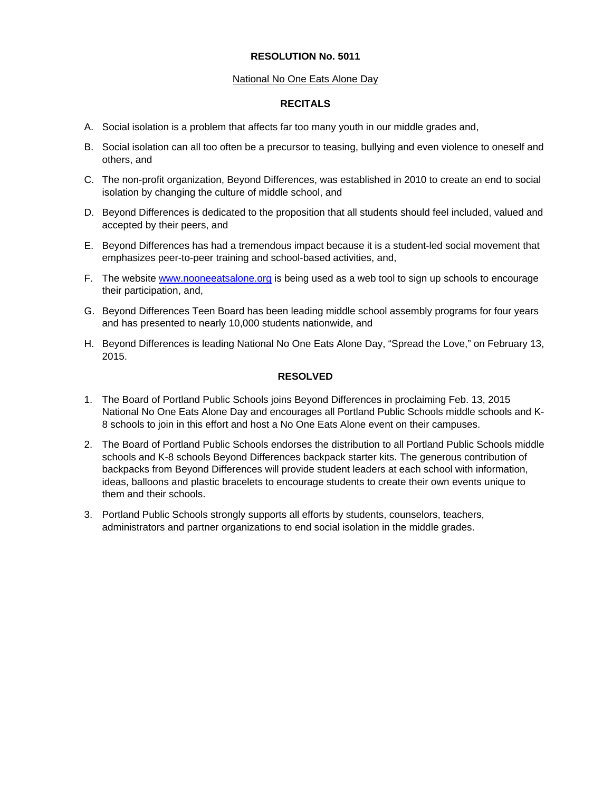### National No One Eats Alone Day

#### **RECITALS**

- A. Social isolation is a problem that affects far too many youth in our middle grades and,
- B. Social isolation can all too often be a precursor to teasing, bullying and even violence to oneself and others, and
- C. The non-profit organization, Beyond Differences, was established in 2010 to create an end to social isolation by changing the culture of middle school, and
- D. Beyond Differences is dedicated to the proposition that all students should feel included, valued and accepted by their peers, and
- E. Beyond Differences has had a tremendous impact because it is a student-led social movement that emphasizes peer-to-peer training and school-based activities, and,
- F. The website www.nooneeatsalone.org is being used as a web tool to sign up schools to encourage their participation, and,
- G. Beyond Differences Teen Board has been leading middle school assembly programs for four years and has presented to nearly 10,000 students nationwide, and
- H. Beyond Differences is leading National No One Eats Alone Day, "Spread the Love," on February 13, 2015.

# **RESOLVED**

- 1. The Board of Portland Public Schools joins Beyond Differences in proclaiming Feb. 13, 2015 National No One Eats Alone Day and encourages all Portland Public Schools middle schools and K-8 schools to join in this effort and host a No One Eats Alone event on their campuses.
- 2. The Board of Portland Public Schools endorses the distribution to all Portland Public Schools middle schools and K-8 schools Beyond Differences backpack starter kits. The generous contribution of backpacks from Beyond Differences will provide student leaders at each school with information, ideas, balloons and plastic bracelets to encourage students to create their own events unique to them and their schools.
- 3. Portland Public Schools strongly supports all efforts by students, counselors, teachers, administrators and partner organizations to end social isolation in the middle grades.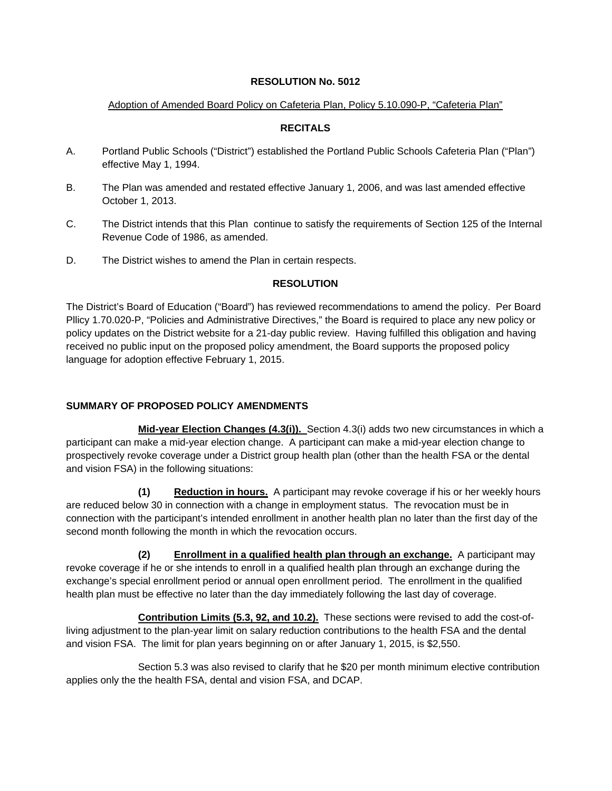# Adoption of Amended Board Policy on Cafeteria Plan, Policy 5.10.090-P, "Cafeteria Plan"

# **RECITALS**

- A. Portland Public Schools ("District") established the Portland Public Schools Cafeteria Plan ("Plan") effective May 1, 1994.
- B. The Plan was amended and restated effective January 1, 2006, and was last amended effective October 1, 2013.
- C. The District intends that this Plan continue to satisfy the requirements of Section 125 of the Internal Revenue Code of 1986, as amended.
- D. The District wishes to amend the Plan in certain respects.

# **RESOLUTION**

The District's Board of Education ("Board") has reviewed recommendations to amend the policy. Per Board Pllicy 1.70.020-P, "Policies and Administrative Directives," the Board is required to place any new policy or policy updates on the District website for a 21-day public review. Having fulfilled this obligation and having received no public input on the proposed policy amendment, the Board supports the proposed policy language for adoption effective February 1, 2015.

# **SUMMARY OF PROPOSED POLICY AMENDMENTS**

 **Mid-year Election Changes (4.3(i)).** Section 4.3(i) adds two new circumstances in which a participant can make a mid-year election change. A participant can make a mid-year election change to prospectively revoke coverage under a District group health plan (other than the health FSA or the dental and vision FSA) in the following situations:

 **(1) Reduction in hours.** A participant may revoke coverage if his or her weekly hours are reduced below 30 in connection with a change in employment status. The revocation must be in connection with the participant's intended enrollment in another health plan no later than the first day of the second month following the month in which the revocation occurs.

 **(2) Enrollment in a qualified health plan through an exchange.** A participant may revoke coverage if he or she intends to enroll in a qualified health plan through an exchange during the exchange's special enrollment period or annual open enrollment period. The enrollment in the qualified health plan must be effective no later than the day immediately following the last day of coverage.

 **Contribution Limits (5.3, 92, and 10.2).** These sections were revised to add the cost-ofliving adjustment to the plan-year limit on salary reduction contributions to the health FSA and the dental and vision FSA. The limit for plan years beginning on or after January 1, 2015, is \$2,550.

 Section 5.3 was also revised to clarify that he \$20 per month minimum elective contribution applies only the the health FSA, dental and vision FSA, and DCAP.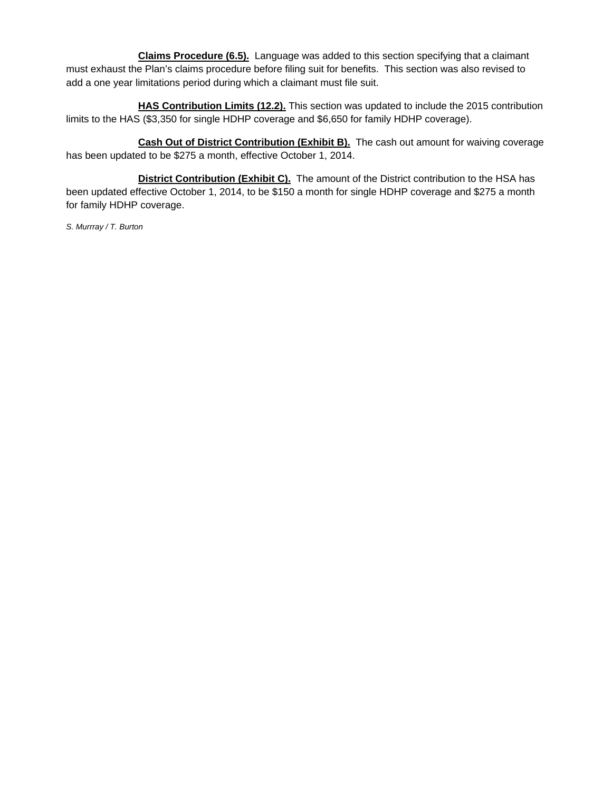**Claims Procedure (6.5).** Language was added to this section specifying that a claimant must exhaust the Plan's claims procedure before filing suit for benefits. This section was also revised to add a one year limitations period during which a claimant must file suit.

 **HAS Contribution Limits (12.2).** This section was updated to include the 2015 contribution limits to the HAS (\$3,350 for single HDHP coverage and \$6,650 for family HDHP coverage).

 **Cash Out of District Contribution (Exhibit B).** The cash out amount for waiving coverage has been updated to be \$275 a month, effective October 1, 2014.

**District Contribution (Exhibit C).** The amount of the District contribution to the HSA has been updated effective October 1, 2014, to be \$150 a month for single HDHP coverage and \$275 a month for family HDHP coverage.

*S. Murrray / T. Burton*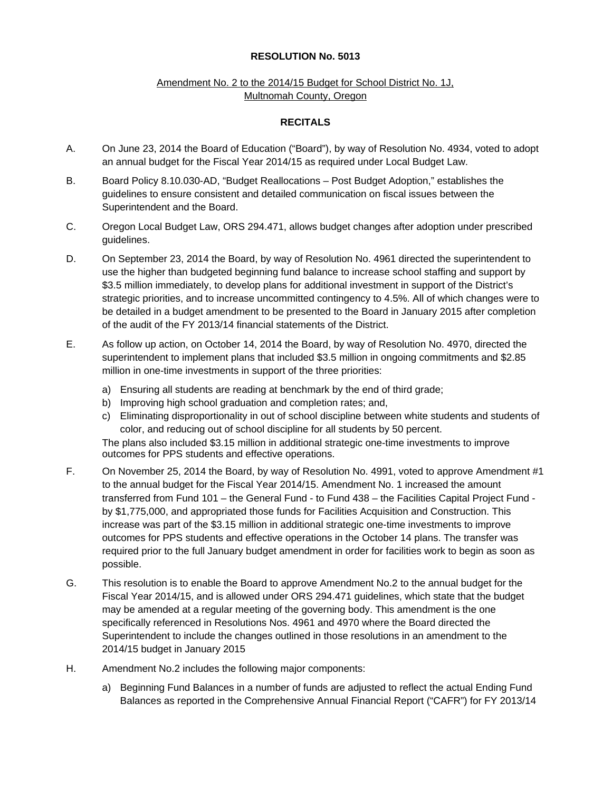# Amendment No. 2 to the 2014/15 Budget for School District No. 1J. Multnomah County, Oregon

## **RECITALS**

- A. On June 23, 2014 the Board of Education ("Board"), by way of Resolution No. 4934, voted to adopt an annual budget for the Fiscal Year 2014/15 as required under Local Budget Law.
- B. Board Policy 8.10.030-AD, "Budget Reallocations Post Budget Adoption," establishes the guidelines to ensure consistent and detailed communication on fiscal issues between the Superintendent and the Board.
- C. Oregon Local Budget Law, ORS 294.471, allows budget changes after adoption under prescribed guidelines.
- D. On September 23, 2014 the Board, by way of Resolution No. 4961 directed the superintendent to use the higher than budgeted beginning fund balance to increase school staffing and support by \$3.5 million immediately, to develop plans for additional investment in support of the District's strategic priorities, and to increase uncommitted contingency to 4.5%. All of which changes were to be detailed in a budget amendment to be presented to the Board in January 2015 after completion of the audit of the FY 2013/14 financial statements of the District.
- E. As follow up action, on October 14, 2014 the Board, by way of Resolution No. 4970, directed the superintendent to implement plans that included \$3.5 million in ongoing commitments and \$2.85 million in one-time investments in support of the three priorities:
	- a) Ensuring all students are reading at benchmark by the end of third grade;
	- b) Improving high school graduation and completion rates; and,
	- c) Eliminating disproportionality in out of school discipline between white students and students of color, and reducing out of school discipline for all students by 50 percent.

The plans also included \$3.15 million in additional strategic one-time investments to improve outcomes for PPS students and effective operations.

- F. On November 25, 2014 the Board, by way of Resolution No. 4991, voted to approve Amendment #1 to the annual budget for the Fiscal Year 2014/15. Amendment No. 1 increased the amount transferred from Fund 101 – the General Fund - to Fund 438 – the Facilities Capital Project Fund by \$1,775,000, and appropriated those funds for Facilities Acquisition and Construction. This increase was part of the \$3.15 million in additional strategic one-time investments to improve outcomes for PPS students and effective operations in the October 14 plans. The transfer was required prior to the full January budget amendment in order for facilities work to begin as soon as possible.
- G. This resolution is to enable the Board to approve Amendment No.2 to the annual budget for the Fiscal Year 2014/15, and is allowed under ORS 294.471 guidelines, which state that the budget may be amended at a regular meeting of the governing body. This amendment is the one specifically referenced in Resolutions Nos. 4961 and 4970 where the Board directed the Superintendent to include the changes outlined in those resolutions in an amendment to the 2014/15 budget in January 2015
- H. Amendment No.2 includes the following major components:
	- a) Beginning Fund Balances in a number of funds are adjusted to reflect the actual Ending Fund Balances as reported in the Comprehensive Annual Financial Report ("CAFR") for FY 2013/14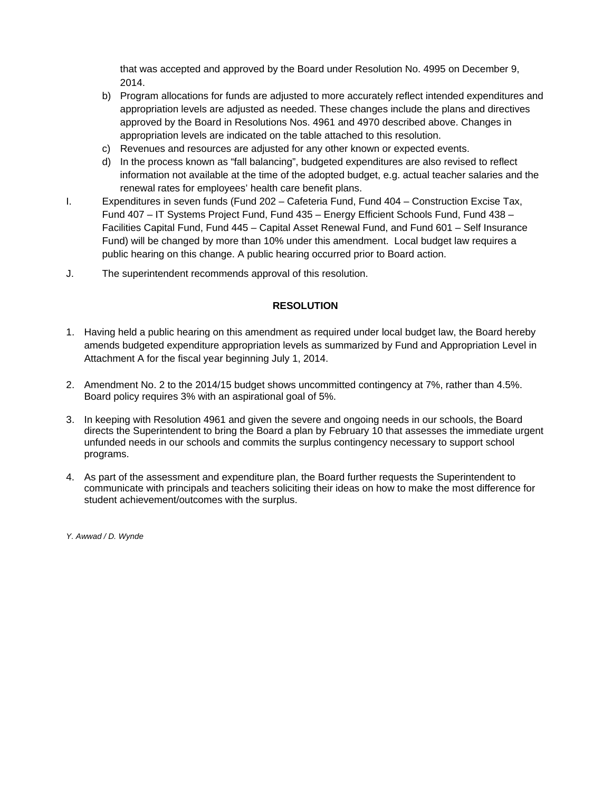that was accepted and approved by the Board under Resolution No. 4995 on December 9, 2014.

- b) Program allocations for funds are adjusted to more accurately reflect intended expenditures and appropriation levels are adjusted as needed. These changes include the plans and directives approved by the Board in Resolutions Nos. 4961 and 4970 described above. Changes in appropriation levels are indicated on the table attached to this resolution.
- c) Revenues and resources are adjusted for any other known or expected events.
- d) In the process known as "fall balancing", budgeted expenditures are also revised to reflect information not available at the time of the adopted budget, e.g. actual teacher salaries and the renewal rates for employees' health care benefit plans.
- I. Expenditures in seven funds (Fund 202 Cafeteria Fund, Fund 404 Construction Excise Tax, Fund 407 – IT Systems Project Fund, Fund 435 – Energy Efficient Schools Fund, Fund 438 – Facilities Capital Fund, Fund 445 – Capital Asset Renewal Fund, and Fund 601 – Self Insurance Fund) will be changed by more than 10% under this amendment. Local budget law requires a public hearing on this change. A public hearing occurred prior to Board action.
- J. The superintendent recommends approval of this resolution.

# **RESOLUTION**

- 1. Having held a public hearing on this amendment as required under local budget law, the Board hereby amends budgeted expenditure appropriation levels as summarized by Fund and Appropriation Level in Attachment A for the fiscal year beginning July 1, 2014.
- 2. Amendment No. 2 to the 2014/15 budget shows uncommitted contingency at 7%, rather than 4.5%. Board policy requires 3% with an aspirational goal of 5%.
- 3. In keeping with Resolution 4961 and given the severe and ongoing needs in our schools, the Board directs the Superintendent to bring the Board a plan by February 10 that assesses the immediate urgent unfunded needs in our schools and commits the surplus contingency necessary to support school programs.
- 4. As part of the assessment and expenditure plan, the Board further requests the Superintendent to communicate with principals and teachers soliciting their ideas on how to make the most difference for student achievement/outcomes with the surplus.

*Y. Awwad / D. Wynde*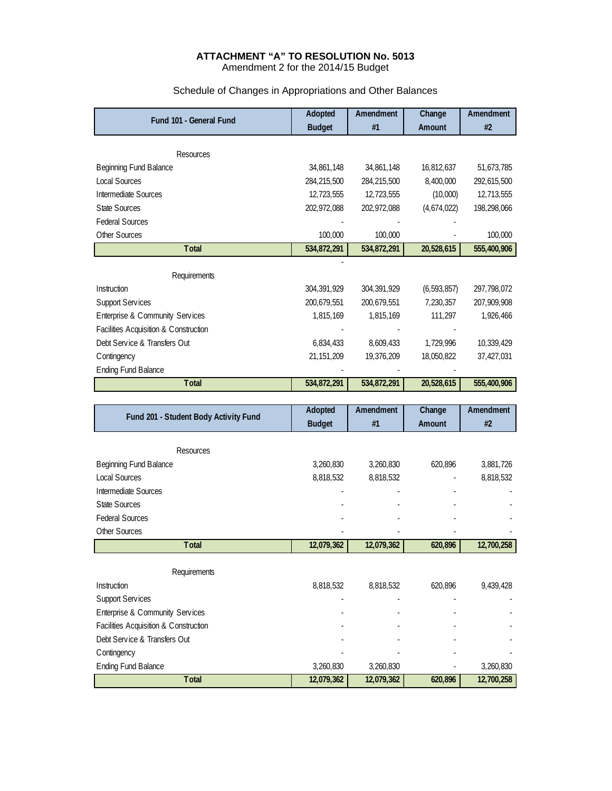#### **ATTACHMENT "A" TO RESOLUTION No. 5013**  Amendment 2 for the 2014/15 Budget

| Fund 101 - General Fund               | Adopted       | Amendment     | Change        | Amendment   |
|---------------------------------------|---------------|---------------|---------------|-------------|
|                                       | <b>Budget</b> | #1            | Amount        | #2          |
| <b>Resources</b>                      |               |               |               |             |
| <b>Beginning Fund Balance</b>         | 34,861,148    | 34,861,148    | 16,812,637    | 51,673,785  |
| <b>Local Sources</b>                  | 284,215,500   | 284,215,500   | 8,400,000     | 292,615,500 |
| <b>Intermediate Sources</b>           | 12,723,555    | 12,723,555    | (10,000)      | 12,713,555  |
| <b>State Sources</b>                  | 202,972,088   | 202,972,088   | (4,674,022)   | 198,298,066 |
| <b>Federal Sources</b>                |               |               |               |             |
| Other Sources                         | 100,000       | 100,000       |               | 100,000     |
| <b>Total</b>                          | 534,872,291   | 534,872,291   | 20,528,615    | 555,400,906 |
|                                       |               |               |               |             |
| Requirements                          |               |               |               |             |
| Instruction                           | 304, 391, 929 | 304, 391, 929 | (6, 593, 857) | 297,798,072 |
| <b>Support Services</b>               | 200,679,551   | 200,679,551   | 7,230,357     | 207,909,908 |
| Enterprise & Community Services       | 1,815,169     | 1,815,169     | 111,297       | 1,926,466   |
| Facilities Acquisition & Construction |               |               |               |             |
| Debt Service & Transfers Out          | 6,834,433     | 8,609,433     | 1,729,996     | 10,339,429  |
| Contingency                           | 21, 151, 209  | 19,376,209    | 18,050,822    | 37,427,031  |
| <b>Ending Fund Balance</b>            |               |               |               |             |
| <b>Total</b>                          | 534,872,291   | 534,872,291   | 20,528,615    | 555,400,906 |
|                                       |               |               |               |             |
| Fund 201 - Student Body Activity Fund | Adopted       | Amendment     | Change        | Amendment   |
|                                       | <b>Budget</b> | #1            | Amount        | #2          |
|                                       |               |               |               |             |

# Schedule of Changes in Appropriations and Other Balances

| Resources              |            |            |         |            |
|------------------------|------------|------------|---------|------------|
| Beginning Fund Balance | 3,260,830  | 3,260,830  | 620,896 | 3,881,726  |
| <b>Local Sources</b>   | 8,818,532  | 8,818,532  | ۰       | 8,818,532  |
| Intermediate Sources   |            |            |         |            |
| State Sources          | ۰          |            |         |            |
| <b>Federal Sources</b> | ۰          |            |         |            |
| Other Sources          |            |            |         | ٠          |
| Total                  | 12,079,362 | 12,079,362 | 620,896 | 12,700,258 |
| Requirements           |            |            |         |            |

| <b>Instruction</b>                    | 8.818.532  | 8.818.532  | 620.896 | 9.439.428  |
|---------------------------------------|------------|------------|---------|------------|
| <b>Support Services</b>               |            |            |         |            |
| Enterprise & Community Services       |            |            |         |            |
| Facilities Acquisition & Construction |            |            |         |            |
| Debt Service & Transfers Out          |            |            |         |            |
| Contingency                           |            |            |         |            |
| <b>Ending Fund Balance</b>            | 3.260.830  | 3.260.830  |         | 3,260,830  |
| <b>Total</b>                          | 12,079,362 | 12,079,362 | 620,896 | 12,700,258 |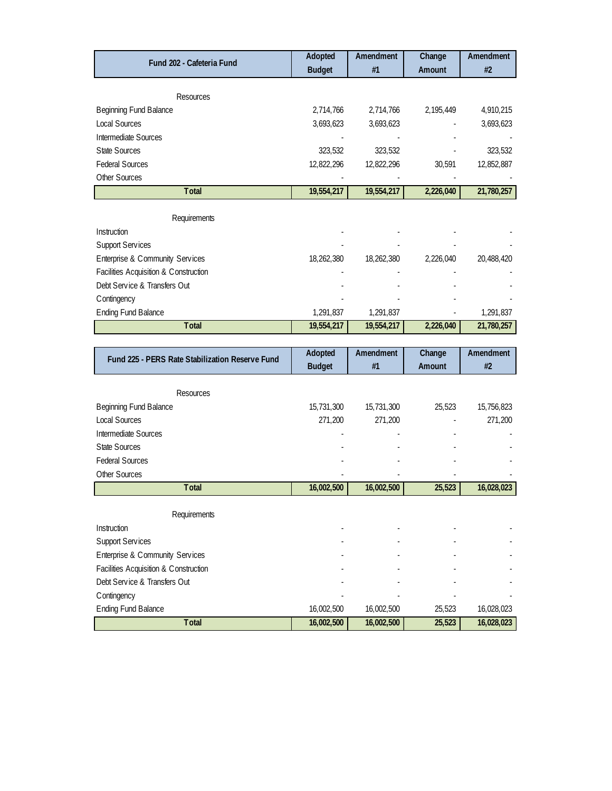| Fund 202 - Cafeteria Fund                       | Adopted       | Amendment  | Change    | Amendment  |
|-------------------------------------------------|---------------|------------|-----------|------------|
|                                                 | <b>Budget</b> | #1         | Amount    | #2         |
|                                                 |               |            |           |            |
| <b>Resources</b>                                |               |            |           |            |
| Beginning Fund Balance                          | 2,714,766     | 2,714,766  | 2,195,449 | 4,910,215  |
| <b>Local Sources</b>                            | 3,693,623     | 3,693,623  |           | 3,693,623  |
| Intermediate Sources                            |               |            |           |            |
| <b>State Sources</b>                            | 323,532       | 323,532    |           | 323,532    |
| <b>Federal Sources</b>                          | 12,822,296    | 12,822,296 | 30,591    | 12,852,887 |
| Other Sources                                   |               |            |           |            |
| Total                                           | 19,554,217    | 19,554,217 | 2,226,040 | 21,780,257 |
|                                                 |               |            |           |            |
| Requirements                                    |               |            |           |            |
| Instruction                                     |               |            |           |            |
| <b>Support Services</b>                         |               |            |           |            |
| Enterprise & Community Services                 | 18,262,380    | 18,262,380 | 2,226,040 | 20,488,420 |
| Facilities Acquisition & Construction           |               |            |           |            |
| Debt Service & Transfers Out                    |               |            |           |            |
| Contingency                                     |               |            |           |            |
| <b>Ending Fund Balance</b>                      | 1,291,837     | 1,291,837  |           | 1,291,837  |
| Total                                           | 19,554,217    | 19,554,217 | 2,226,040 | 21,780,257 |
|                                                 |               |            |           |            |
| Fund 225 - PERS Rate Stabilization Reserve Fund | Adopted       | Amendment  | Change    | Amendment  |
|                                                 | <b>Budget</b> | #1         | Amount    | #2         |
|                                                 |               |            |           |            |
| <b>Resources</b>                                |               |            |           |            |
| Beginning Fund Balance                          | 15,731,300    | 15,731,300 | 25,523    | 15,756,823 |
| <b>Local Sources</b>                            | 271,200       | 271,200    |           | 271,200    |
| Intermediate Sources                            |               |            |           |            |
| <b>State Sources</b>                            |               |            |           |            |
| <b>Federal Sources</b>                          |               |            |           |            |

| Other Sources                         |            |            |        |            |
|---------------------------------------|------------|------------|--------|------------|
| <b>Total</b>                          | 16,002,500 | 16,002,500 | 25,523 | 16,028,023 |
|                                       |            |            |        |            |
| Requirements                          |            |            |        |            |
| Instruction                           |            |            |        |            |
| <b>Support Services</b>               |            |            |        |            |
| Enterprise & Community Services       |            |            |        |            |
| Facilities Acquisition & Construction |            |            |        |            |
| Debt Service & Transfers Out          |            |            |        |            |
| Contingency                           |            |            |        |            |
| <b>Ending Fund Balance</b>            | 16,002,500 | 16,002,500 | 25,523 | 16,028,023 |
| <b>Total</b>                          | 16,002,500 | 16,002,500 | 25,523 | 16,028,023 |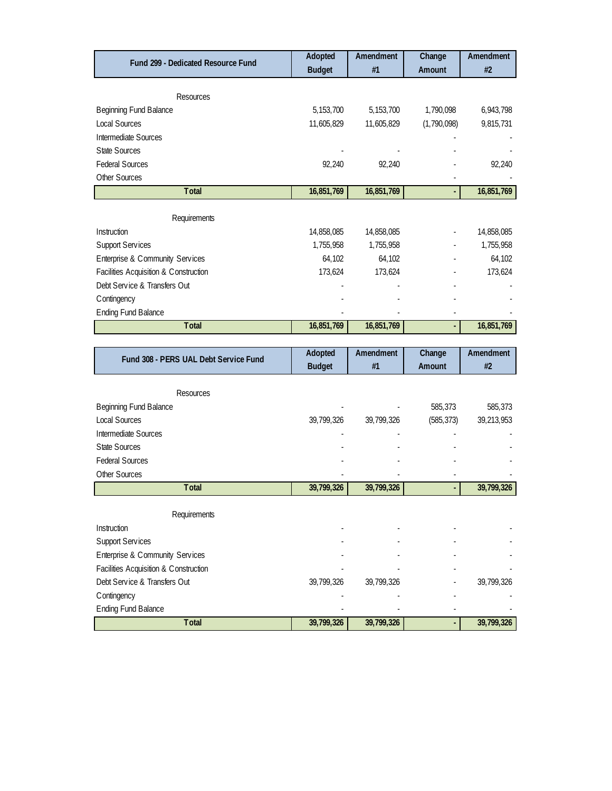| Fund 299 - Dedicated Resource Fund    | Adopted       | Amendment   | Change                   | Amendment  |
|---------------------------------------|---------------|-------------|--------------------------|------------|
|                                       | <b>Budget</b> | #1          | Amount                   | #2         |
|                                       |               |             |                          |            |
| Resources                             |               |             |                          |            |
| <b>Beginning Fund Balance</b>         | 5, 153, 700   | 5, 153, 700 | 1,790,098                | 6,943,798  |
| Local Sources                         | 11,605,829    | 11,605,829  | (1,790,098)              | 9,815,731  |
| Intermediate Sources                  |               |             |                          |            |
| <b>State Sources</b>                  |               |             |                          |            |
| <b>Federal Sources</b>                | 92,240        | 92,240      |                          | 92,240     |
| Other Sources                         |               |             |                          |            |
| <b>Total</b>                          | 16,851,769    | 16,851,769  |                          | 16,851,769 |
|                                       |               |             |                          |            |
| Requirements                          |               |             |                          |            |
| Instruction                           | 14,858,085    | 14,858,085  | $\overline{\phantom{a}}$ | 14,858,085 |
| <b>Support Services</b>               | 1,755,958     | 1,755,958   |                          | 1,755,958  |
| Enterprise & Community Services       | 64,102        | 64,102      |                          | 64,102     |
| Facilities Acquisition & Construction | 173,624       | 173,624     |                          | 173,624    |
| Debt Service & Transfers Out          |               |             |                          |            |
| Contingency                           |               |             |                          |            |
| <b>Ending Fund Balance</b>            |               |             |                          |            |
| <b>Total</b>                          | 16,851,769    | 16,851,769  |                          | 16,851,769 |

| Fund 308 - PERS UAL Debt Service Fund | Adopted       | Amendment  | Change     | Amendment  |
|---------------------------------------|---------------|------------|------------|------------|
|                                       | <b>Budget</b> | #1         | Amount     | #2         |
|                                       |               |            |            |            |
| Resources                             |               |            |            |            |
| Beginning Fund Balance                |               |            | 585,373    | 585,373    |
| Local Sources                         | 39,799,326    | 39,799,326 | (585, 373) | 39,213,953 |
| Intermediate Sources                  |               |            |            |            |
| <b>State Sources</b>                  |               |            |            |            |
| <b>Federal Sources</b>                |               |            |            |            |
| Other Sources                         |               |            |            |            |
| <b>Total</b>                          | 39,799,326    | 39,799,326 |            | 39,799,326 |
|                                       |               |            |            |            |
| Requirements                          |               |            |            |            |
| Instruction                           |               |            |            |            |
| <b>Support Services</b>               |               |            |            |            |
| Enterprise & Community Services       |               |            |            |            |
| Facilities Acquisition & Construction |               |            |            |            |
| Debt Service & Transfers Out          | 39,799,326    | 39,799,326 |            | 39,799,326 |
| Contingency                           |               |            |            |            |
| <b>Ending Fund Balance</b>            |               |            |            |            |
| <b>T</b> otal                         | 39,799,326    | 39,799,326 |            | 39,799,326 |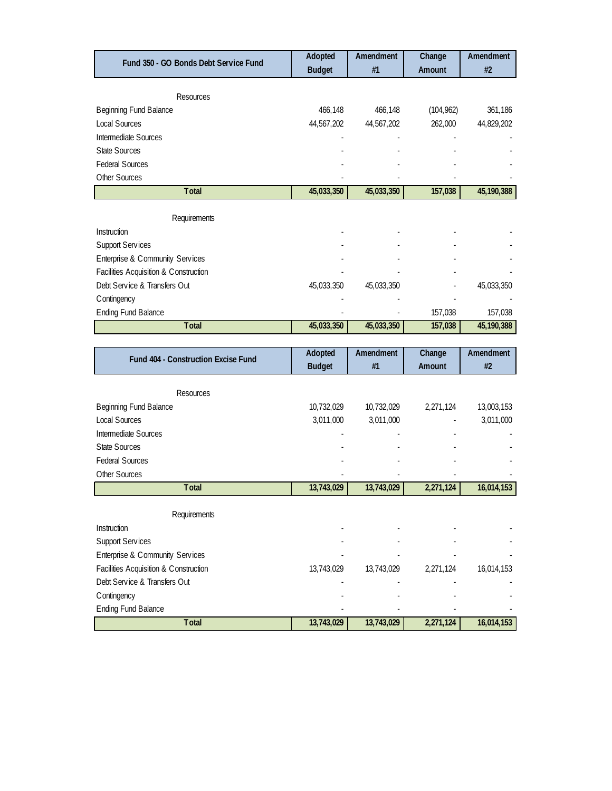| Fund 350 - GO Bonds Debt Service Fund | Adopted<br><b>Budget</b> | Amendment<br>#1 | Change<br><b>Amount</b> | Amendment<br>#2 |
|---------------------------------------|--------------------------|-----------------|-------------------------|-----------------|
|                                       |                          |                 |                         |                 |
| Resources                             |                          |                 |                         |                 |
| Beginning Fund Balance                | 466,148                  | 466,148         | (104, 962)              | 361,186         |
| <b>Local Sources</b>                  | 44,567,202               | 44,567,202      | 262,000                 | 44,829,202      |
| <b>Intermediate Sources</b>           |                          |                 |                         |                 |
| <b>State Sources</b>                  |                          |                 |                         |                 |
| <b>Federal Sources</b>                |                          |                 |                         |                 |
| Other Sources                         |                          |                 |                         |                 |
| Total                                 | 45,033,350               | 45,033,350      | 157,038                 | 45,190,388      |
| Requirements                          |                          |                 |                         |                 |
| Instruction                           |                          |                 |                         |                 |
| Support Services                      |                          |                 |                         |                 |
| Enterprise & Community Services       |                          |                 |                         |                 |
| Facilities Acquisition & Construction |                          |                 |                         |                 |
| Debt Service & Transfers Out          | 45,033,350               | 45,033,350      |                         | 45,033,350      |
| Contingency                           |                          |                 |                         |                 |
| <b>Ending Fund Balance</b>            |                          |                 | 157,038                 | 157,038         |
| <b>Total</b>                          | 45,033,350               | 45,033,350      | 157,038                 | 45, 190, 388    |
|                                       |                          |                 |                         |                 |
| Fund 404 - Construction Excise Fund   | Adopted                  | Amendment       | Change                  | Amendment       |
|                                       | <b>Budget</b>            | #1              | Amount                  | #2              |
|                                       |                          |                 |                         |                 |
| <b>Resources</b>                      |                          |                 |                         |                 |
| Beginning Fund Balance                | 10,732,029               | 10,732,029      | 2,271,124               | 13,003,153      |
| <b>Local Sources</b>                  | 3,011,000                | 3,011,000       |                         | 3,011,000       |
| Intermediate Sources                  |                          |                 |                         |                 |

| Resources                             |            |            |           |            |
|---------------------------------------|------------|------------|-----------|------------|
| Beginning Fund Balance                | 10,732,029 | 10,732,029 | 2,271,124 | 13,003,153 |
| Local Sources                         | 3,011,000  | 3,011,000  |           | 3,011,000  |
| Intermediate Sources                  |            |            |           |            |
| <b>State Sources</b>                  |            |            |           |            |
| <b>Federal Sources</b>                |            |            |           |            |
| Other Sources                         |            |            |           |            |
| <b>Total</b>                          | 13,743,029 | 13,743,029 | 2,271,124 | 16,014,153 |
|                                       |            |            |           |            |
| Requirements                          |            |            |           |            |
| Instruction                           |            |            |           |            |
| <b>Support Services</b>               |            |            |           |            |
| Enterprise & Community Services       |            |            |           |            |
| Facilities Acquisition & Construction | 13,743,029 | 13,743,029 | 2,271,124 | 16,014,153 |
| Debt Service & Transfers Out          |            |            |           |            |
| Contingency                           |            |            |           |            |
| <b>Ending Fund Balance</b>            |            |            |           |            |
| <b>Total</b>                          | 13,743,029 | 13,743,029 | 2,271,124 | 16,014,153 |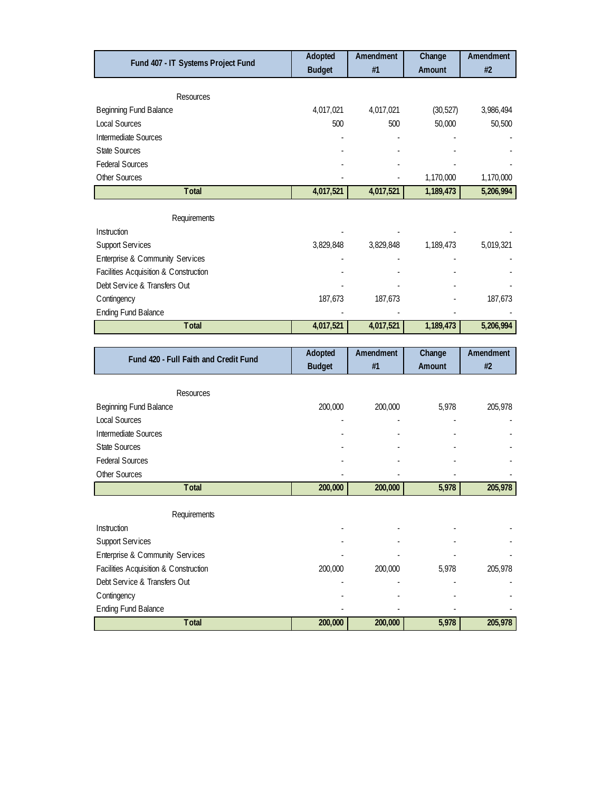| Fund 407 - IT Systems Project Fund    | Adopted       | Amendment | Change    | Amendment |
|---------------------------------------|---------------|-----------|-----------|-----------|
|                                       | <b>Budget</b> | #1        | Amount    | #2        |
| Resources                             |               |           |           |           |
| Beginning Fund Balance                | 4,017,021     | 4,017,021 | (30, 527) | 3,986,494 |
| <b>Local Sources</b>                  | 500           | 500       | 50,000    | 50,500    |
|                                       |               |           |           |           |
| Intermediate Sources                  |               |           |           |           |
| <b>State Sources</b>                  |               |           |           |           |
| <b>Federal Sources</b>                |               |           |           |           |
| Other Sources                         |               |           | 1,170,000 | 1,170,000 |
| <b>Total</b>                          | 4,017,521     | 4,017,521 | 1,189,473 | 5,206,994 |
|                                       |               |           |           |           |
| Requirements                          |               |           |           |           |
| Instruction                           |               |           |           |           |
| <b>Support Services</b>               | 3,829,848     | 3,829,848 | 1,189,473 | 5,019,321 |
| Enterprise & Community Services       |               |           |           |           |
| Facilities Acquisition & Construction |               |           |           |           |
| Debt Service & Transfers Out          |               |           |           |           |
| Contingency                           | 187,673       | 187,673   |           | 187,673   |
| <b>Ending Fund Balance</b>            |               |           |           |           |
| <b>Total</b>                          | 4,017,521     | 4,017,521 | 1,189,473 | 5,206,994 |
|                                       |               |           |           |           |
| Fund 420 - Full Faith and Credit Fund | Adopted       | Amendment | Change    | Amendment |
|                                       | <b>Budget</b> | #1        | Amount    | #2        |
|                                       |               |           |           |           |
| Resources                             |               |           |           |           |
| <b>Beginning Fund Balance</b>         | 200,000       | 200,000   | 5,978     | 205,978   |
| <b>Local Sources</b>                  |               |           |           |           |

| Intermediate Sources                  |         |         |       |         |
|---------------------------------------|---------|---------|-------|---------|
| <b>State Sources</b>                  |         |         |       |         |
| <b>Federal Sources</b>                |         |         |       |         |
| Other Sources                         |         |         |       |         |
| <b>Total</b>                          | 200,000 | 200,000 | 5,978 | 205,978 |
|                                       |         |         |       |         |
| Requirements                          |         |         |       |         |
| Instruction                           |         |         |       |         |
| <b>Support Services</b>               |         |         |       |         |
| Enterprise & Community Services       |         |         |       |         |
| Facilities Acquisition & Construction | 200,000 | 200,000 | 5,978 | 205,978 |
| Debt Service & Transfers Out          |         |         |       | ٠       |
| C ontingency                          |         |         |       |         |
| <b>Ending Fund Balance</b>            |         |         |       |         |
| <b>Total</b>                          | 200,000 | 200,000 | 5,978 | 205,978 |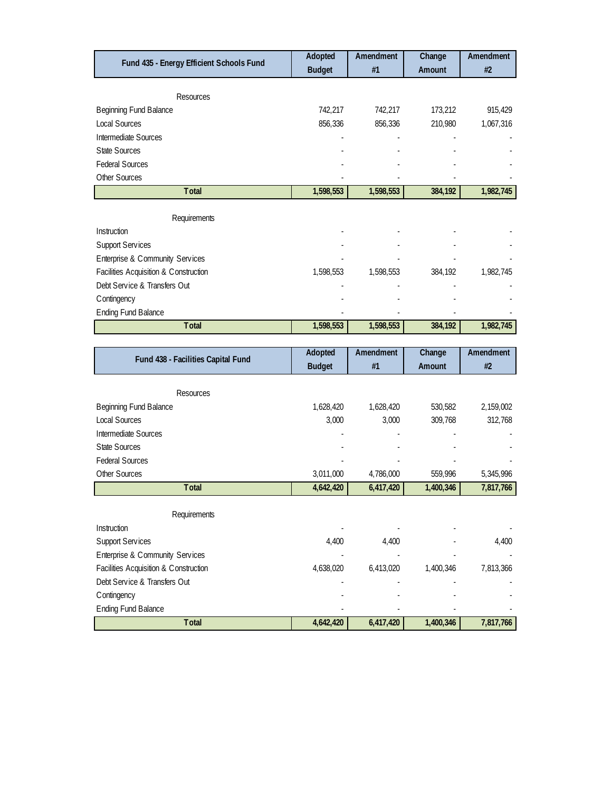| Fund 435 - Energy Efficient Schools Fund | Adopted       | Amendment | Change  | Amendment |
|------------------------------------------|---------------|-----------|---------|-----------|
|                                          | <b>Budget</b> | #1        | Amount  | #2        |
|                                          |               |           |         |           |
| Resources                                |               |           |         |           |
| Beginning Fund Balance                   | 742,217       | 742,217   | 173,212 | 915,429   |
| <b>Local Sources</b>                     | 856,336       | 856,336   | 210,980 | 1,067,316 |
| Intermediate Sources                     |               |           |         |           |
| <b>State Sources</b>                     |               |           |         |           |
| <b>Federal Sources</b>                   |               |           |         |           |
| Other Sources                            |               |           |         |           |
| <b>Total</b>                             | 1,598,553     | 1,598,553 | 384,192 | 1,982,745 |
|                                          |               |           |         |           |
| Requirements                             |               |           |         |           |
| Instruction                              |               |           |         |           |
| <b>Support Services</b>                  |               |           |         |           |
| Enterprise & Community Services          |               |           |         |           |
| Facilities Acquisition & Construction    | 1,598,553     | 1,598,553 | 384,192 | 1,982,745 |
| Debt Service & Transfers Out             |               |           |         |           |
| C ontingency                             |               |           |         |           |
| <b>Ending Fund Balance</b>               |               |           |         |           |
| Total                                    | 1,598,553     | 1,598,553 | 384,192 | 1,982,745 |
|                                          |               |           |         |           |

| Fund 438 - Facilities Capital Fund    | Adopted       | Amendment | Change    | Amendment |
|---------------------------------------|---------------|-----------|-----------|-----------|
|                                       | <b>Budget</b> | #1        | Amount    | #2        |
|                                       |               |           |           |           |
| <b>Resources</b>                      |               |           |           |           |
| Beginning Fund Balance                | 1,628,420     | 1,628,420 | 530,582   | 2,159,002 |
| Local Sources                         | 3,000         | 3,000     | 309,768   | 312,768   |
| Intermediate Sources                  |               |           |           |           |
| <b>State Sources</b>                  |               |           |           |           |
| <b>Federal Sources</b>                |               |           |           |           |
| Other Sources                         | 3,011,000     | 4,786,000 | 559,996   | 5,345,996 |
| <b>Total</b>                          | 4,642,420     | 6,417,420 | 1,400,346 | 7,817,766 |
|                                       |               |           |           |           |
| Requirements                          |               |           |           |           |
| Instruction                           |               |           |           |           |
| <b>Support Services</b>               | 4,400         | 4,400     |           | 4,400     |
| Enterprise & Community Services       |               |           |           |           |
| Facilities Acquisition & Construction | 4,638,020     | 6,413,020 | 1,400,346 | 7,813,366 |
| Debt Service & Transfers Out          |               |           |           |           |
| Contingency                           |               |           |           |           |
| <b>Ending Fund Balance</b>            |               |           |           |           |
| <b>Total</b>                          | 4,642,420     | 6,417,420 | 1,400,346 | 7,817,766 |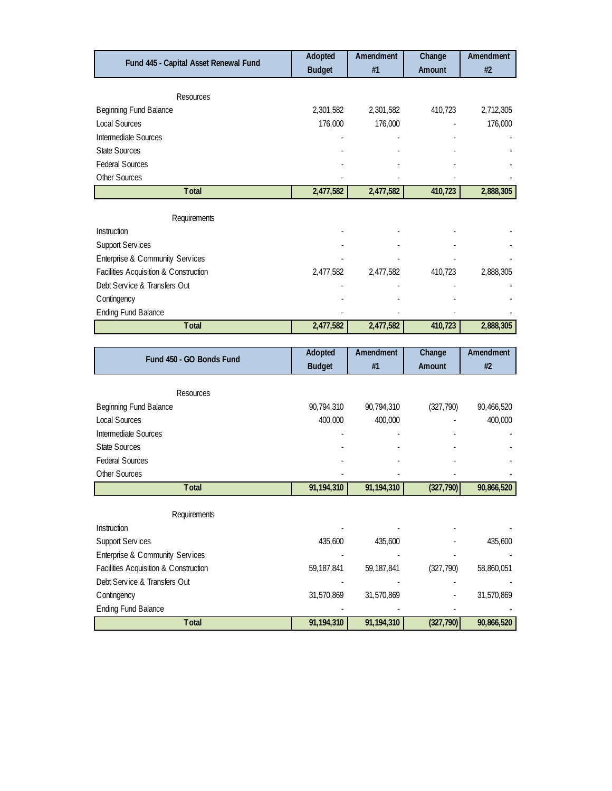|                                                             |                       | #1                    | Amount     | #2         |
|-------------------------------------------------------------|-----------------------|-----------------------|------------|------------|
|                                                             | <b>Budget</b>         |                       |            |            |
| Resources                                                   |                       |                       |            |            |
| Beginning Fund Balance                                      | 2,301,582             | 2,301,582             | 410,723    | 2,712,305  |
| <b>Local Sources</b>                                        | 176,000               | 176,000               |            | 176,000    |
| Intermediate Sources                                        |                       |                       |            |            |
| <b>State Sources</b>                                        |                       |                       |            |            |
| <b>Federal Sources</b>                                      |                       |                       |            |            |
| Other Sources                                               |                       |                       |            |            |
| <b>Total</b>                                                | 2,477,582             | 2,477,582             | 410,723    | 2,888,305  |
|                                                             |                       |                       |            |            |
| Requirements                                                |                       |                       |            |            |
| Instruction                                                 |                       |                       |            |            |
| <b>Support Services</b>                                     |                       |                       |            |            |
| Enterprise & Community Services                             |                       |                       |            |            |
| Facilities Acquisition & Construction                       | 2,477,582             | 2,477,582             | 410,723    | 2,888,305  |
| Debt Service & Transfers Out                                |                       |                       |            |            |
| Contingency                                                 |                       |                       |            |            |
| <b>Ending Fund Balance</b>                                  |                       |                       |            |            |
| Total                                                       | 2,477,582             | 2,477,582             | 410,723    | 2,888,305  |
|                                                             |                       |                       |            |            |
| Fund 450 - GO Bonds Fund                                    | Adopted               | Amendment             | Change     | Amendment  |
|                                                             | <b>Budget</b>         | #1                    | Amount     | #2         |
|                                                             |                       |                       |            |            |
|                                                             |                       |                       |            |            |
|                                                             |                       |                       |            | 400,000    |
| Resources<br>Beginning Fund Balance<br><b>Local Sources</b> | 90,794,310<br>400,000 | 90,794,310<br>400,000 | (327, 790) | 90,466,520 |

| 400,000    | 400,000      |            | 400,000    |
|------------|--------------|------------|------------|
|            |              |            |            |
|            |              |            |            |
|            |              |            |            |
|            |              |            |            |
| 91,194,310 | 91,194,310   | (327, 790) | 90,866,520 |
|            |              |            |            |
|            |              |            |            |
|            |              |            |            |
| 435,600    | 435,600      |            | 435,600    |
|            |              |            |            |
| 59,187,841 | 59, 187, 841 | (327, 790) | 58,860,051 |
|            |              |            |            |
| 31,570,869 | 31,570,869   |            | 31,570,869 |
|            |              |            |            |
| 91,194,310 | 91,194,310   | (327, 790) | 90,866,520 |
|            |              |            |            |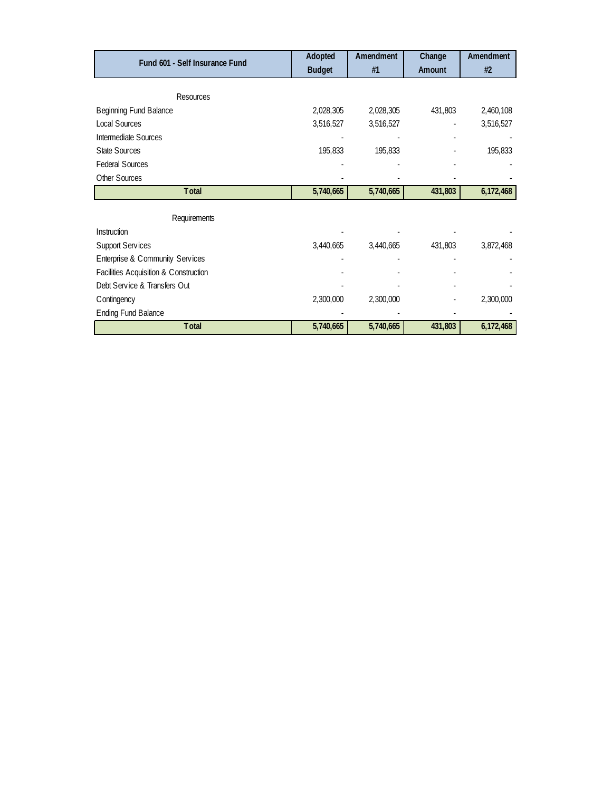| Fund 601 - Self Insurance Fund        | Adopted       | Amendment | Change  | Amendment |
|---------------------------------------|---------------|-----------|---------|-----------|
|                                       | <b>Budget</b> | #1        | Amount  | #2        |
|                                       |               |           |         |           |
| <b>Resources</b>                      |               |           |         |           |
| Beginning Fund Balance                | 2,028,305     | 2,028,305 | 431,803 | 2,460,108 |
| Local Sources                         | 3,516,527     | 3,516,527 |         | 3,516,527 |
| Intermediate Sources                  |               |           |         |           |
| State Sources                         | 195,833       | 195,833   |         | 195,833   |
| <b>Federal Sources</b>                |               |           |         |           |
| Other Sources                         |               |           |         |           |
| Total                                 | 5,740,665     | 5,740,665 | 431,803 | 6,172,468 |
|                                       |               |           |         |           |
| Requirements                          |               |           |         |           |
| Instruction                           |               |           |         |           |
| <b>Support Services</b>               | 3,440,665     | 3,440,665 | 431,803 | 3,872,468 |
| Enterprise & Community Services       |               |           |         |           |
| Facilities Acquisition & Construction |               |           |         |           |
| Debt Service & Transfers Out          |               |           |         |           |
| Contingency                           | 2,300,000     | 2,300,000 |         | 2,300,000 |
| <b>Ending Fund Balance</b>            |               |           |         |           |
| <b>Total</b>                          | 5,740,665     | 5,740,665 | 431,803 | 6,172,468 |